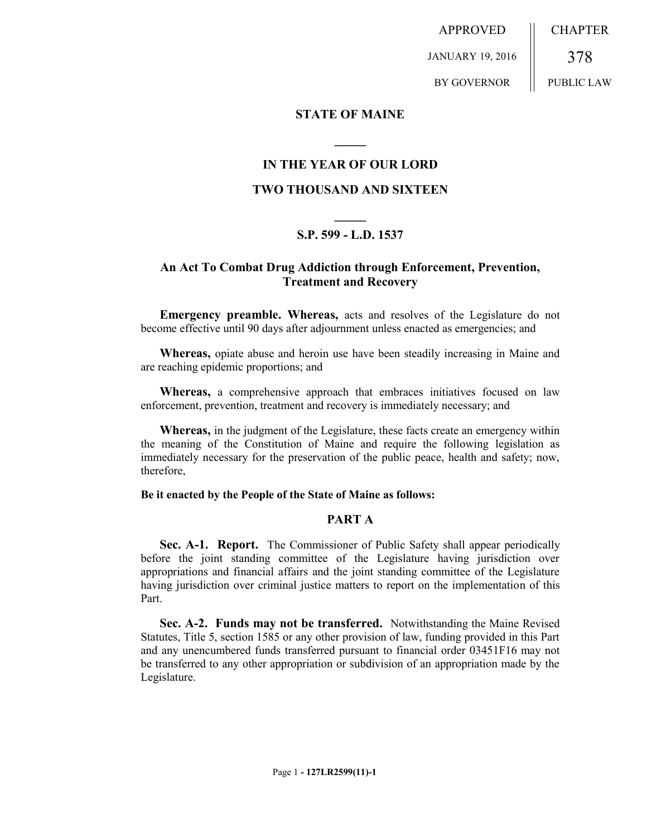APPROVED

JANUARY 19, 2016

BY GOVERNOR

378

CHAPTER

# PUBLIC LAW

## **STATE OF MAINE**

## **IN THE YEAR OF OUR LORD**

**\_\_\_\_\_**

## **TWO THOUSAND AND SIXTEEN**

## **\_\_\_\_\_ S.P. 599 - L.D. 1537**

## **An Act To Combat Drug Addiction through Enforcement, Prevention, Treatment and Recovery**

**Emergency preamble. Whereas,** acts and resolves of the Legislature do not become effective until 90 days after adjournment unless enacted as emergencies; and

**Whereas,** opiate abuse and heroin use have been steadily increasing in Maine and are reaching epidemic proportions; and

**Whereas,** a comprehensive approach that embraces initiatives focused on law enforcement, prevention, treatment and recovery is immediately necessary; and

**Whereas,** in the judgment of the Legislature, these facts create an emergency within the meaning of the Constitution of Maine and require the following legislation as immediately necessary for the preservation of the public peace, health and safety; now, therefore,

## **Be it enacted by the People of the State of Maine as follows:**

## **PART A**

**Sec. A-1. Report.** The Commissioner of Public Safety shall appear periodically before the joint standing committee of the Legislature having jurisdiction over appropriations and financial affairs and the joint standing committee of the Legislature having jurisdiction over criminal justice matters to report on the implementation of this Part.

**Sec. A-2. Funds may not be transferred.** Notwithstanding the Maine Revised Statutes, Title 5, section 1585 or any other provision of law, funding provided in this Part and any unencumbered funds transferred pursuant to financial order 03451F16 may not be transferred to any other appropriation or subdivision of an appropriation made by the Legislature.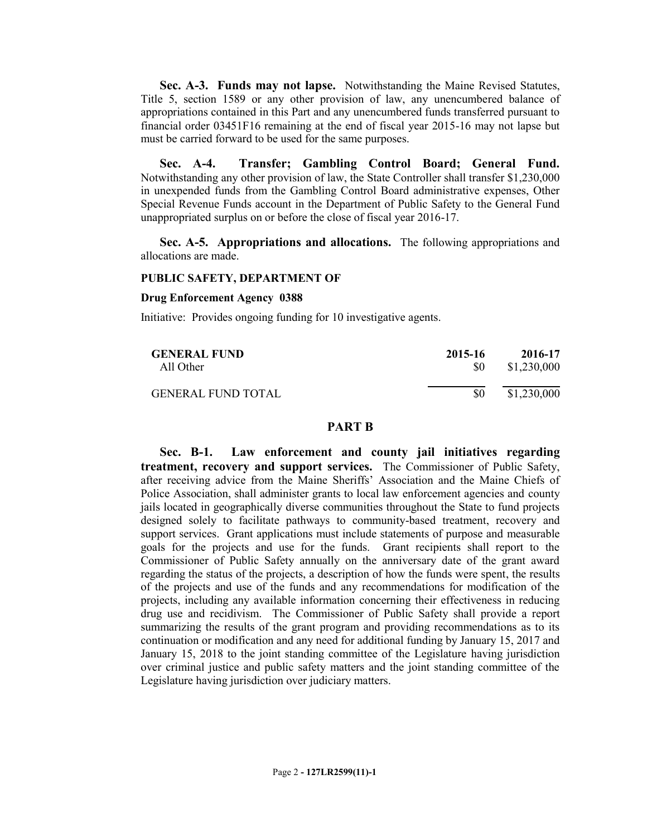**Sec. A-3. Funds may not lapse.** Notwithstanding the Maine Revised Statutes, Title 5, section 1589 or any other provision of law, any unencumbered balance of appropriations contained in this Part and any unencumbered funds transferred pursuant to financial order 03451F16 remaining at the end of fiscal year 2015-16 may not lapse but must be carried forward to be used for the same purposes.

**Sec. A-4. Transfer; Gambling Control Board; General Fund.**  Notwithstanding any other provision of law, the State Controller shall transfer \$1,230,000 in unexpended funds from the Gambling Control Board administrative expenses, Other Special Revenue Funds account in the Department of Public Safety to the General Fund unappropriated surplus on or before the close of fiscal year 2016-17.

**Sec. A-5. Appropriations and allocations.** The following appropriations and allocations are made.

## **PUBLIC SAFETY, DEPARTMENT OF**

#### **Drug Enforcement Agency 0388**

Initiative: Provides ongoing funding for 10 investigative agents.

| <b>GENERAL FUND</b>       | 2015-16 | 2016-17     |
|---------------------------|---------|-------------|
| All Other                 | SO.     | \$1,230,000 |
| <b>GENERAL FUND TOTAL</b> | \$0     | \$1,230,000 |

## **PART B**

**Sec. B-1. Law enforcement and county jail initiatives regarding treatment, recovery and support services.** The Commissioner of Public Safety, after receiving advice from the Maine Sheriffs' Association and the Maine Chiefs of Police Association, shall administer grants to local law enforcement agencies and county jails located in geographically diverse communities throughout the State to fund projects designed solely to facilitate pathways to community-based treatment, recovery and support services. Grant applications must include statements of purpose and measurable goals for the projects and use for the funds. Grant recipients shall report to the Commissioner of Public Safety annually on the anniversary date of the grant award regarding the status of the projects, a description of how the funds were spent, the results of the projects and use of the funds and any recommendations for modification of the projects, including any available information concerning their effectiveness in reducing drug use and recidivism. The Commissioner of Public Safety shall provide a report summarizing the results of the grant program and providing recommendations as to its continuation or modification and any need for additional funding by January 15, 2017 and January 15, 2018 to the joint standing committee of the Legislature having jurisdiction over criminal justice and public safety matters and the joint standing committee of the Legislature having jurisdiction over judiciary matters.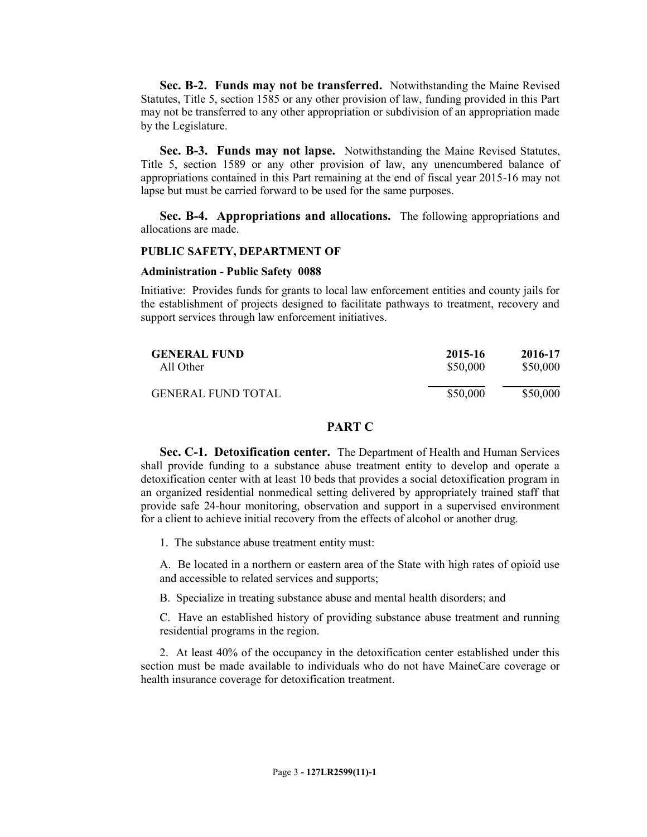**Sec. B-2. Funds may not be transferred.** Notwithstanding the Maine Revised Statutes, Title 5, section 1585 or any other provision of law, funding provided in this Part may not be transferred to any other appropriation or subdivision of an appropriation made by the Legislature.

**Sec. B-3. Funds may not lapse.** Notwithstanding the Maine Revised Statutes, Title 5, section 1589 or any other provision of law, any unencumbered balance of appropriations contained in this Part remaining at the end of fiscal year 2015-16 may not lapse but must be carried forward to be used for the same purposes.

**Sec. B-4. Appropriations and allocations.** The following appropriations and allocations are made.

#### **PUBLIC SAFETY, DEPARTMENT OF**

#### **Administration - Public Safety 0088**

Initiative: Provides funds for grants to local law enforcement entities and county jails for the establishment of projects designed to facilitate pathways to treatment, recovery and support services through law enforcement initiatives.

| <b>GENERAL FUND</b>       | 2015-16  | 2016-17  |
|---------------------------|----------|----------|
| All Other                 | \$50,000 | \$50,000 |
| <b>GENERAL FUND TOTAL</b> | \$50,000 | \$50,000 |

## **PART C**

**Sec. C-1. Detoxification center.** The Department of Health and Human Services shall provide funding to a substance abuse treatment entity to develop and operate a detoxification center with at least 10 beds that provides a social detoxification program in an organized residential nonmedical setting delivered by appropriately trained staff that provide safe 24-hour monitoring, observation and support in a supervised environment for a client to achieve initial recovery from the effects of alcohol or another drug.

1. The substance abuse treatment entity must:

A. Be located in a northern or eastern area of the State with high rates of opioid use and accessible to related services and supports;

B. Specialize in treating substance abuse and mental health disorders; and

C. Have an established history of providing substance abuse treatment and running residential programs in the region.

2. At least 40% of the occupancy in the detoxification center established under this section must be made available to individuals who do not have MaineCare coverage or health insurance coverage for detoxification treatment.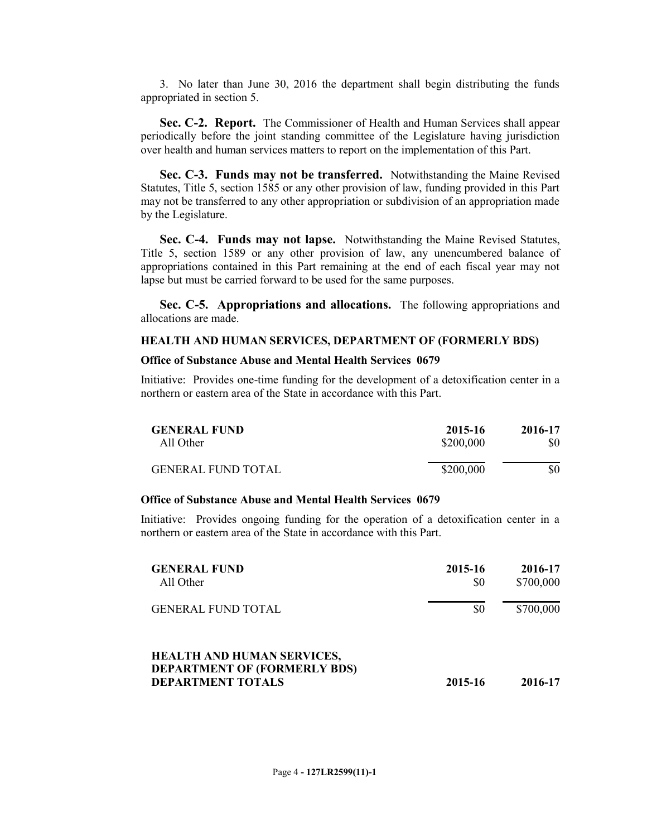3. No later than June 30, 2016 the department shall begin distributing the funds appropriated in section 5.

**Sec. C-2. Report.** The Commissioner of Health and Human Services shall appear periodically before the joint standing committee of the Legislature having jurisdiction over health and human services matters to report on the implementation of this Part.

**Sec. C-3. Funds may not be transferred.** Notwithstanding the Maine Revised Statutes, Title 5, section 1585 or any other provision of law, funding provided in this Part may not be transferred to any other appropriation or subdivision of an appropriation made by the Legislature.

**Sec. C-4. Funds may not lapse.** Notwithstanding the Maine Revised Statutes, Title 5, section 1589 or any other provision of law, any unencumbered balance of appropriations contained in this Part remaining at the end of each fiscal year may not lapse but must be carried forward to be used for the same purposes.

**Sec. C-5. Appropriations and allocations.** The following appropriations and allocations are made.

#### **HEALTH AND HUMAN SERVICES, DEPARTMENT OF (FORMERLY BDS)**

## **Office of Substance Abuse and Mental Health Services 0679**

Initiative: Provides one-time funding for the development of a detoxification center in a northern or eastern area of the State in accordance with this Part.

| <b>GENERAL FUND</b>       | 2015-16   | 2016-17 |
|---------------------------|-----------|---------|
| All Other                 | \$200,000 | \$0     |
| <b>GENERAL FUND TOTAL</b> | \$200,000 | \$0     |

## **Office of Substance Abuse and Mental Health Services 0679**

Initiative: Provides ongoing funding for the operation of a detoxification center in a northern or eastern area of the State in accordance with this Part.

| <b>GENERAL FUND</b><br>All Other                                                                     | 2015-16<br>\$0 | 2016-17<br>\$700,000 |
|------------------------------------------------------------------------------------------------------|----------------|----------------------|
| <b>GENERAL FUND TOTAL</b>                                                                            | \$0            | \$700,000            |
| <b>HEALTH AND HUMAN SERVICES,</b><br><b>DEPARTMENT OF (FORMERLY BDS)</b><br><b>DEPARTMENT TOTALS</b> | 2015-16        | 2016-17              |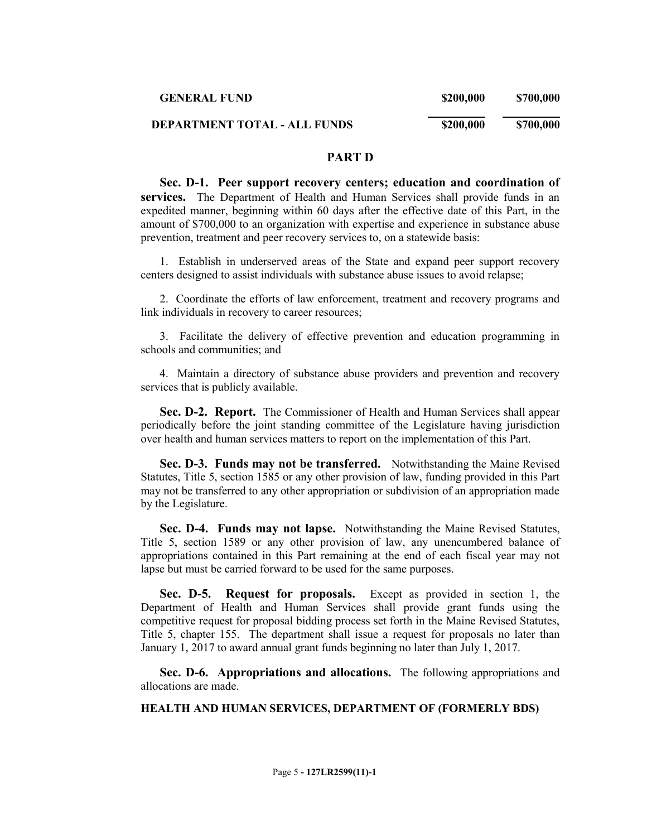| <b>GENERAL FUND</b>                 | \$200,000 | \$700,000 |
|-------------------------------------|-----------|-----------|
| <b>DEPARTMENT TOTAL - ALL FUNDS</b> | \$200,000 | \$700,000 |

## **PART D**

**Sec. D-1. Peer support recovery centers; education and coordination of services.** The Department of Health and Human Services shall provide funds in an expedited manner, beginning within 60 days after the effective date of this Part, in the amount of \$700,000 to an organization with expertise and experience in substance abuse prevention, treatment and peer recovery services to, on a statewide basis:

1. Establish in underserved areas of the State and expand peer support recovery centers designed to assist individuals with substance abuse issues to avoid relapse;

2. Coordinate the efforts of law enforcement, treatment and recovery programs and link individuals in recovery to career resources;

3. Facilitate the delivery of effective prevention and education programming in schools and communities; and

4. Maintain a directory of substance abuse providers and prevention and recovery services that is publicly available.

**Sec. D-2. Report.** The Commissioner of Health and Human Services shall appear periodically before the joint standing committee of the Legislature having jurisdiction over health and human services matters to report on the implementation of this Part.

**Sec. D-3. Funds may not be transferred.** Notwithstanding the Maine Revised Statutes, Title 5, section 1585 or any other provision of law, funding provided in this Part may not be transferred to any other appropriation or subdivision of an appropriation made by the Legislature.

**Sec. D-4. Funds may not lapse.** Notwithstanding the Maine Revised Statutes, Title 5, section 1589 or any other provision of law, any unencumbered balance of appropriations contained in this Part remaining at the end of each fiscal year may not lapse but must be carried forward to be used for the same purposes.

**Sec. D-5. Request for proposals.** Except as provided in section 1, the Department of Health and Human Services shall provide grant funds using the competitive request for proposal bidding process set forth in the Maine Revised Statutes, Title 5, chapter 155. The department shall issue a request for proposals no later than January 1, 2017 to award annual grant funds beginning no later than July 1, 2017.

**Sec. D-6. Appropriations and allocations.** The following appropriations and allocations are made.

#### **HEALTH AND HUMAN SERVICES, DEPARTMENT OF (FORMERLY BDS)**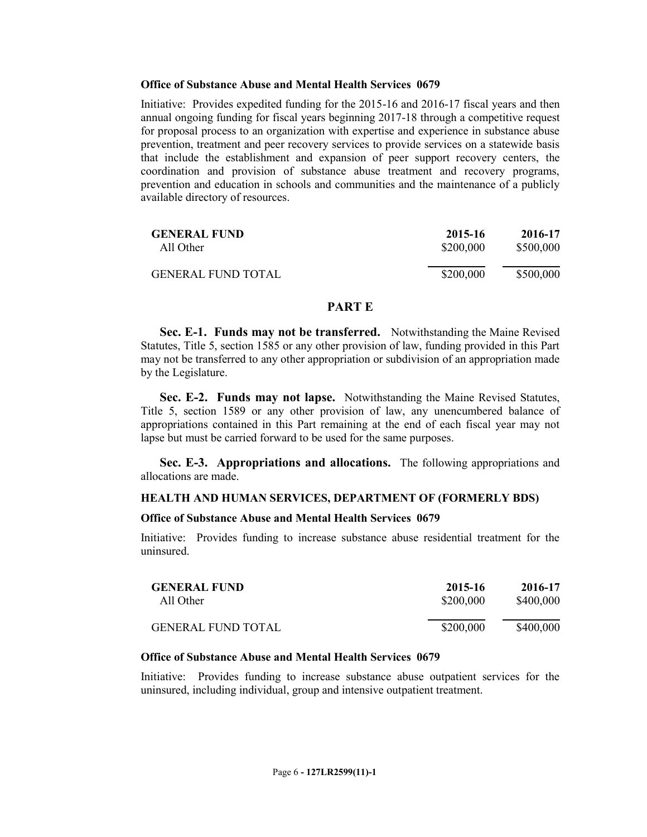## **Office of Substance Abuse and Mental Health Services 0679**

Initiative: Provides expedited funding for the 2015-16 and 2016-17 fiscal years and then annual ongoing funding for fiscal years beginning 2017-18 through a competitive request for proposal process to an organization with expertise and experience in substance abuse prevention, treatment and peer recovery services to provide services on a statewide basis that include the establishment and expansion of peer support recovery centers, the coordination and provision of substance abuse treatment and recovery programs, prevention and education in schools and communities and the maintenance of a publicly available directory of resources.

| <b>GENERAL FUND</b>       | 2015-16   | 2016-17   |
|---------------------------|-----------|-----------|
| All Other                 | \$200,000 | \$500,000 |
| <b>GENERAL FUND TOTAL</b> | \$200,000 | \$500,000 |

## **PART E**

**Sec. E-1. Funds may not be transferred.** Notwithstanding the Maine Revised Statutes, Title 5, section 1585 or any other provision of law, funding provided in this Part may not be transferred to any other appropriation or subdivision of an appropriation made by the Legislature.

**Sec. E-2. Funds may not lapse.** Notwithstanding the Maine Revised Statutes, Title 5, section 1589 or any other provision of law, any unencumbered balance of appropriations contained in this Part remaining at the end of each fiscal year may not lapse but must be carried forward to be used for the same purposes.

**Sec. E-3. Appropriations and allocations.** The following appropriations and allocations are made.

## **HEALTH AND HUMAN SERVICES, DEPARTMENT OF (FORMERLY BDS)**

#### **Office of Substance Abuse and Mental Health Services 0679**

Initiative: Provides funding to increase substance abuse residential treatment for the uninsured.

| <b>GENERAL FUND</b>       | 2015-16   | 2016-17   |
|---------------------------|-----------|-----------|
| All Other                 | \$200,000 | \$400,000 |
| <b>GENERAL FUND TOTAL</b> | \$200,000 | \$400,000 |

## **Office of Substance Abuse and Mental Health Services 0679**

Initiative: Provides funding to increase substance abuse outpatient services for the uninsured, including individual, group and intensive outpatient treatment.